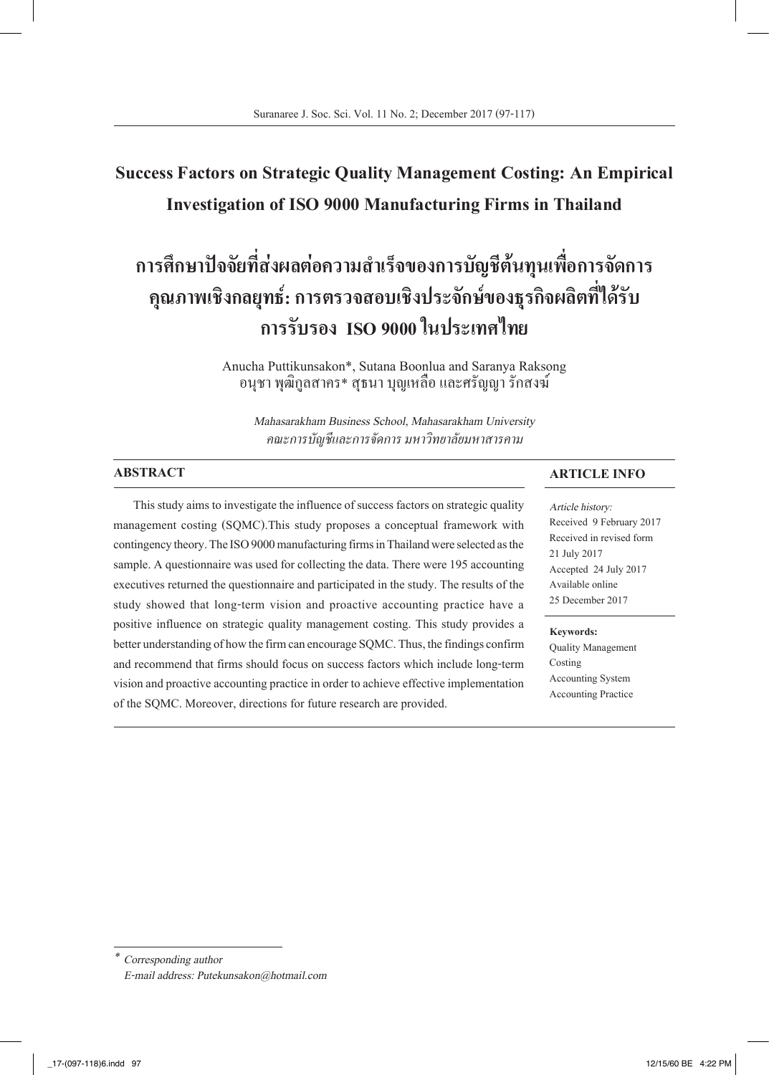## **Success Factors on Strategic Quality Management Costing: An Empirical Investigation of ISO 9000 Manufacturing Firms in Thailand**

# **การศึกษาปัจจัยที่ส่งผลต่อความส�ำเร็จของการบัญชีต้นทุนเพื่อการจัดการ คุณภาพเชิงกลยุทธ์: การตรวจสอบเชิงประจักษ์ของธุรกิจผลิตที่ได้รับ การรับรอง ISO 9000 ในประเทศไทย**

Anucha Puttikunsakon\*, Sutana Boonlua and Saranya Raksong อนุชา พุฒิกูลสาคร\* สุธนา บุญเหลือ และศรัญญา รักสงฆ์

*Mahasarakham Business School, Mahasarakham University คณะการบัญชีและการจัดการ มหาวิทยาลัยมหาสารคาม*

#### **ABSTRACT**

This study aims to investigate the influence of success factors on strategic quality management costing (SQMC).This study proposes a conceptual framework with contingency theory. The ISO 9000 manufacturing firms in Thailand were selected as the sample. A questionnaire was used for collecting the data. There were 195 accounting executives returned the questionnaire and participated in the study. The results of the study showed that long-term vision and proactive accounting practice have a positive influence on strategic quality management costing. This study provides a better understanding of how the firm can encourage SQMC. Thus, the findings confirm and recommend that firms should focus on success factors which include long-term vision and proactive accounting practice in order to achieve effective implementation of the SQMC. Moreover, directions for future research are provided.

#### **ARTICLE INFO**

*Article history:* Received 9 February 2017 Received in revised form 21 July 2017 Accepted 24 July 2017 Available online 25 December 2017

#### **Keywords:**

Quality Management Costing Accounting System Accounting Practice

*<sup>\*</sup> Corresponding author*

*E-mail address: Putekunsakon@hotmail.com*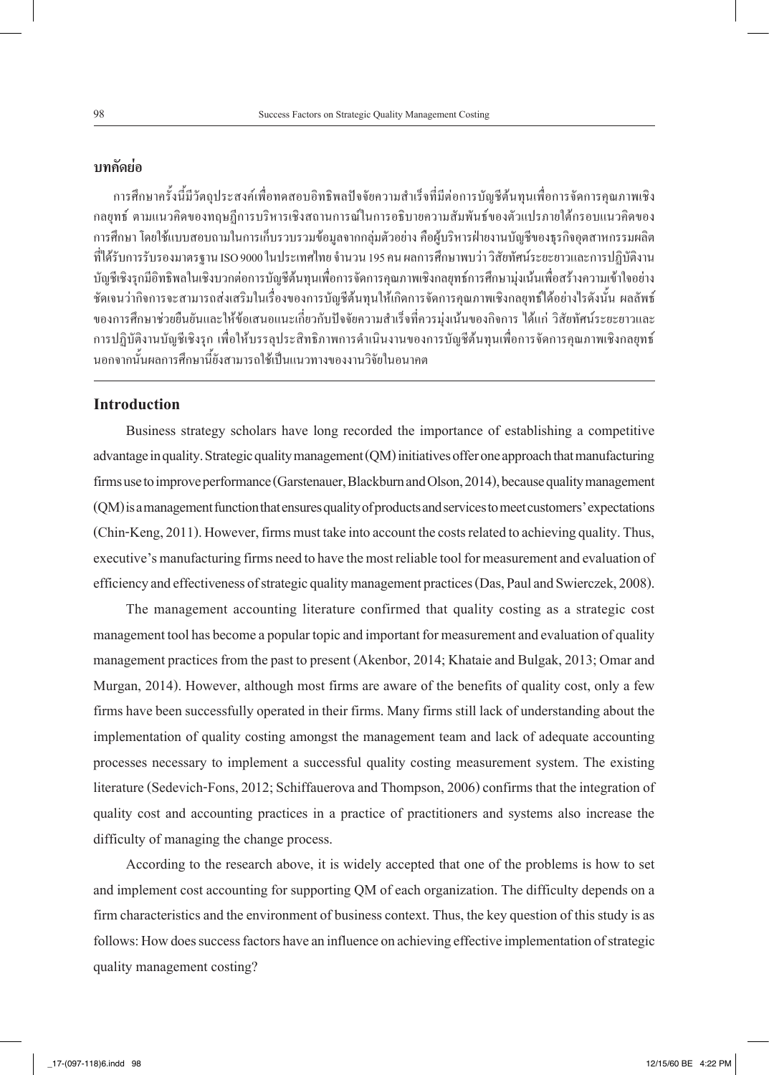### **บทคัดย่อ**

การศึกษาครั้งนี้มีวัตถุประสงค์เพื่อทดสอบอิทธิพลปัจจัยความส�ำเร็จที่มีต่อการบัญชีต้นทุนเพื่อการจัดการคุณภาพเชิง กลยุทธ์ ตามแนวคิดของทฤษฏีการบริหารเชิงสถานการณ์ในการอธิบายความสัมพันธ์ของตัวแปรภายใต้กรอบแนวคิดของ การศึกษา โดยใช้แบบสอบถามในการเก็บรวบรวมข้อมูลจากกลุ่มตัวอย่าง คือผู้บริหารฝ่ายงานบัญชีของธุรกิจอุตสาหกรรมผลิต ที่ได้รับการรับรองมาตรฐาน ISO 9000 ในประเทศไทย จำนวน 195 คน ผลการศึกษาพบว่า วิสัยทัศน์ระยะยาวและการปฏิบัติงาน บัญชีเชิงรุกมีอิทธิพลในเชิงบวกต่อการบัญชีต้นทุนเพื่อการจัดการคุณภาพเชิงกลยุทธ์การศึกษามุ่งเน้นเพื่อสร้างความเข้าใจอย่าง ชัดเจนว่ากิจการจะสามารถส่งเสริมในเรื่องของการบัญชีต้นทุนให้เกิดการจัดการคุณภาพเชิงกลยุทธ์ได้อย่างไรดังนั้น ผลลัพธ์ ของการศึกษาช่วยยืนยันและให้ข้อเสนอแนะเกี่ยวกับปัจจัยความสำเร็จที่ควรมุ่งเน้นของกิจการ ได้แก่ วิสัยทัศน์ระยะยาวและ การปฏิบัติงานบัญชีเชิงรุก เพื่อให้บรรลุประสิทธิภาพการด�ำเนินงานของการบัญชีต้นทุนเพื่อการจัดการคุณภาพเชิงกลยุทธ์ นอกจากนั้นผลการศึกษานี้ยังสามารถใช้เป็นแนวทางของงานวิจัยในอนาคต

#### **Introduction**

Business strategy scholars have long recorded the importance of establishing a competitive advantage in quality. Strategic quality management (QM) initiatives offer one approach that manufacturing firms use to improve performance (Garstenauer, Blackburn and Olson, 2014), because quality management (QM) is a management function that ensures quality of products and services to meet customers' expectations (Chin-Keng, 2011). However, firms must take into account the costs related to achieving quality. Thus, executive's manufacturing firms need to have the most reliable tool for measurement and evaluation of efficiency and effectiveness of strategic quality management practices (Das, Paul and Swierczek, 2008).

The management accounting literature confirmed that quality costing as a strategic cost management tool has become a popular topic and important for measurement and evaluation of quality management practices from the past to present (Akenbor, 2014; Khataie and Bulgak, 2013; Omar and Murgan, 2014). However, although most firms are aware of the benefits of quality cost, only a few firms have been successfully operated in their firms. Many firms still lack of understanding about the implementation of quality costing amongst the management team and lack of adequate accounting processes necessary to implement a successful quality costing measurement system. The existing literature (Sedevich-Fons, 2012; Schiffauerova and Thompson, 2006) confirms that the integration of quality cost and accounting practices in a practice of practitioners and systems also increase the difficulty of managing the change process.

According to the research above, it is widely accepted that one of the problems is how to set and implement cost accounting for supporting QM of each organization. The difficulty depends on a firm characteristics and the environment of business context. Thus, the key question of this study is as follows: How does success factors have an influence on achieving effective implementation of strategic quality management costing?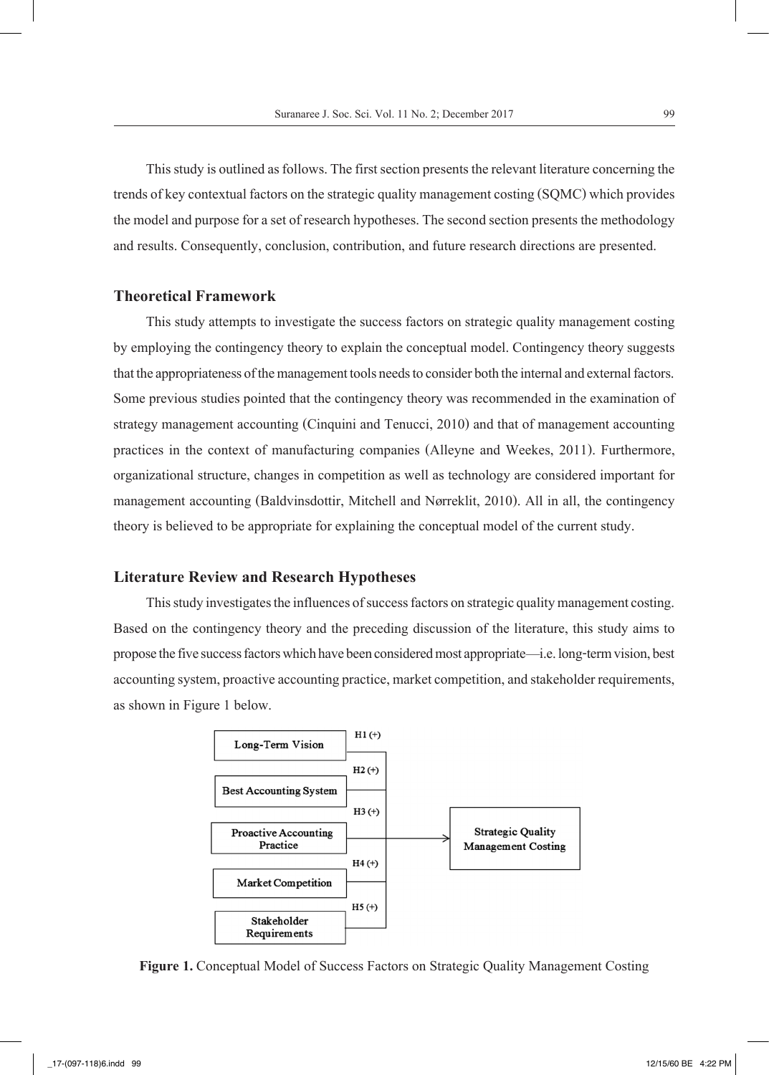This study is outlined as follows. The first section presents the relevant literature concerning the trends of key contextual factors on the strategic quality management costing (SQMC) which provides the model and purpose for a set of research hypotheses. The second section presents the methodology and results. Consequently, conclusion, contribution, and future research directions are presented.

#### **Theoretical Framework**

This study attempts to investigate the success factors on strategic quality management costing by employing the contingency theory to explain the conceptual model. Contingency theory suggests that the appropriateness of the management tools needs to consider both the internal and external factors. Some previous studies pointed that the contingency theory was recommended in the examination of strategy management accounting (Cinquini and Tenucci, 2010) and that of management accounting practices in the context of manufacturing companies (Alleyne and Weekes, 2011). Furthermore, organizational structure, changes in competition as well as technology are considered important for management accounting (Baldvinsdottir, Mitchell and Nørreklit, 2010). All in all, the contingency theory is believed to be appropriate for explaining the conceptual model of the current study.

#### **Literature Review and Research Hypotheses**

This study investigates the influences of success factors on strategic quality management costing. Based on the contingency theory and the preceding discussion of the literature, this study aims to propose the five success factors which have been considered most appropriate—i.e. long-term vision, best accounting system, proactive accounting practice, market competition, and stakeholder requirements, as shown in Figure 1 below.



**Figure 1.** Conceptual Model of Success Factors on Strategic Quality Management Costing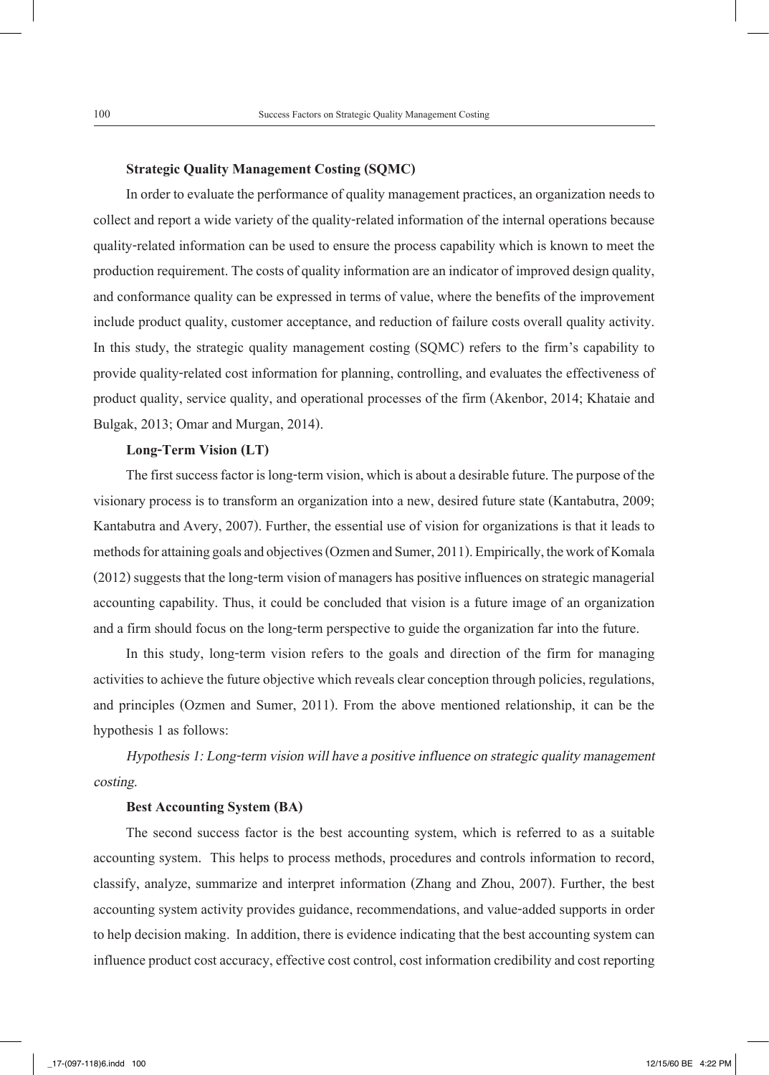#### **Strategic Quality Management Costing (SQMC)**

In order to evaluate the performance of quality management practices, an organization needs to collect and report a wide variety of the quality-related information of the internal operations because quality-related information can be used to ensure the process capability which is known to meet the production requirement. The costs of quality information are an indicator of improved design quality, and conformance quality can be expressed in terms of value, where the benefits of the improvement include product quality, customer acceptance, and reduction of failure costs overall quality activity. In this study, the strategic quality management costing (SQMC) refers to the firm's capability to provide quality-related cost information for planning, controlling, and evaluates the effectiveness of product quality, service quality, and operational processes of the firm (Akenbor, 2014; Khataie and Bulgak, 2013; Omar and Murgan, 2014).

#### **Long-Term Vision (LT)**

The first success factor is long-term vision, which is about a desirable future. The purpose of the visionary process is to transform an organization into a new, desired future state (Kantabutra, 2009; Kantabutra and Avery, 2007). Further, the essential use of vision for organizations is that it leads to methods for attaining goals and objectives (Ozmen and Sumer, 2011). Empirically, the work of Komala (2012) suggests that the long-term vision of managers has positive influences on strategic managerial accounting capability. Thus, it could be concluded that vision is a future image of an organization and a firm should focus on the long-term perspective to guide the organization far into the future.

In this study, long-term vision refers to the goals and direction of the firm for managing activities to achieve the future objective which reveals clear conception through policies, regulations, and principles (Ozmen and Sumer, 2011). From the above mentioned relationship, it can be the hypothesis 1 as follows:

*Hypothesis 1: Long-term vision will have a positive influence on strategic quality management costing.*

#### **Best Accounting System (BA)**

The second success factor is the best accounting system, which is referred to as a suitable accounting system. This helps to process methods, procedures and controls information to record, classify, analyze, summarize and interpret information (Zhang and Zhou, 2007). Further, the best accounting system activity provides guidance, recommendations, and value-added supports in order to help decision making. In addition, there is evidence indicating that the best accounting system can influence product cost accuracy, effective cost control, cost information credibility and cost reporting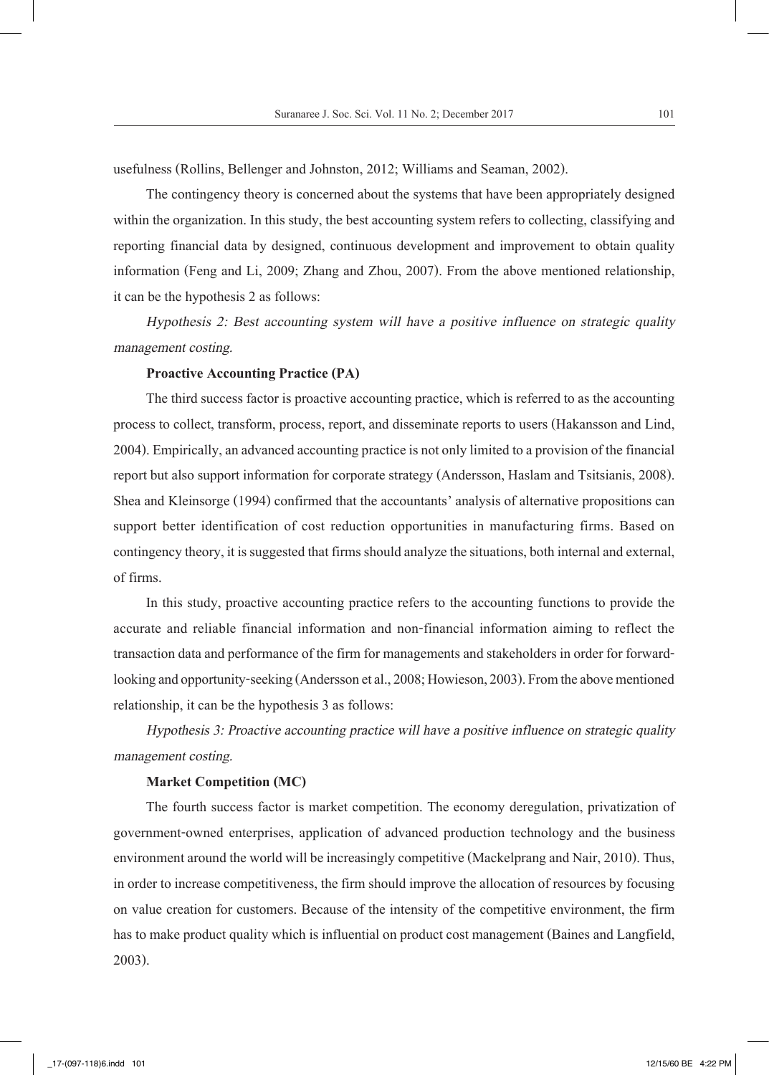usefulness (Rollins, Bellenger and Johnston, 2012; Williams and Seaman, 2002).

The contingency theory is concerned about the systems that have been appropriately designed within the organization. In this study, the best accounting system refers to collecting, classifying and reporting financial data by designed, continuous development and improvement to obtain quality information (Feng and Li, 2009; Zhang and Zhou, 2007). From the above mentioned relationship, it can be the hypothesis 2 as follows:

*Hypothesis 2: Best accounting system will have a positive influence on strategic quality management costing.*

#### **Proactive Accounting Practice (PA)**

The third success factor is proactive accounting practice, which is referred to as the accounting process to collect, transform, process, report, and disseminate reports to users (Hakansson and Lind, 2004). Empirically, an advanced accounting practice is not only limited to a provision of the financial report but also support information for corporate strategy (Andersson, Haslam and Tsitsianis, 2008). Shea and Kleinsorge (1994) confirmed that the accountants' analysis of alternative propositions can support better identification of cost reduction opportunities in manufacturing firms. Based on contingency theory, it is suggested that firms should analyze the situations, both internal and external, of firms.

In this study, proactive accounting practice refers to the accounting functions to provide the accurate and reliable financial information and non-financial information aiming to reflect the transaction data and performance of the firm for managements and stakeholders in order for forwardlooking and opportunity-seeking (Andersson et al., 2008; Howieson, 2003). From the above mentioned relationship, it can be the hypothesis 3 as follows:

*Hypothesis 3: Proactive accounting practice will have a positive influence on strategic quality management costing.*

#### **Market Competition (MC)**

The fourth success factor is market competition. The economy deregulation, privatization of government-owned enterprises, application of advanced production technology and the business environment around the world will be increasingly competitive (Mackelprang and Nair, 2010). Thus, in order to increase competitiveness, the firm should improve the allocation of resources by focusing on value creation for customers. Because of the intensity of the competitive environment, the firm has to make product quality which is influential on product cost management (Baines and Langfield, 2003).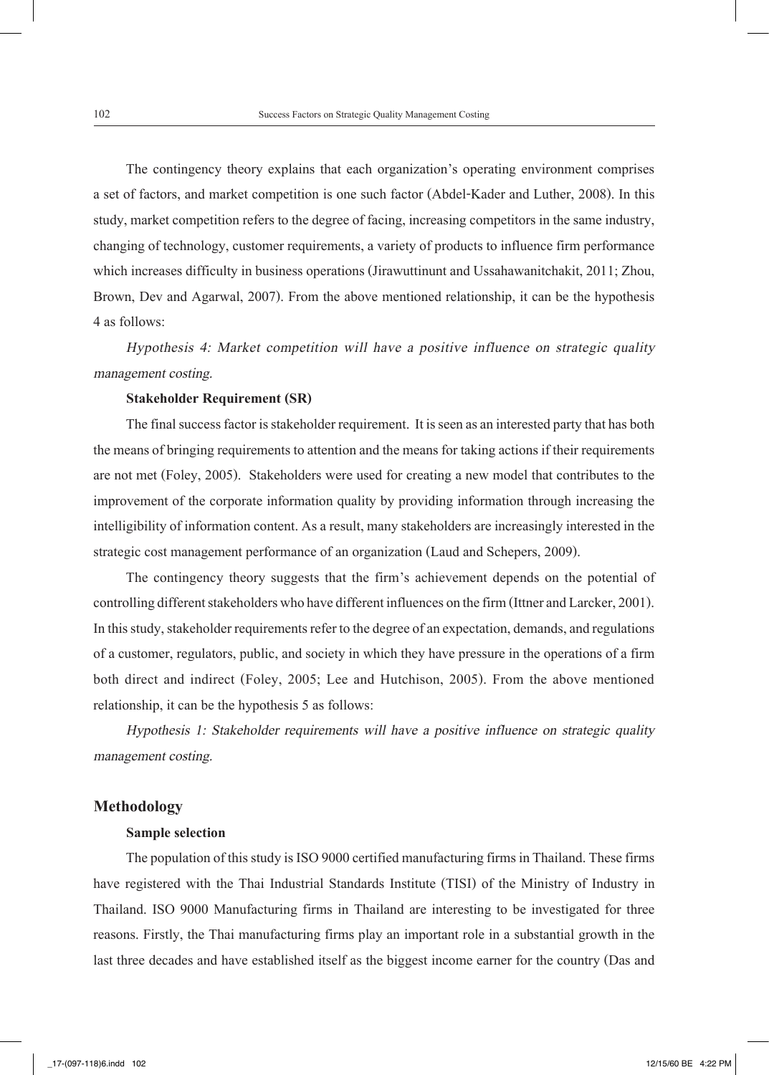The contingency theory explains that each organization's operating environment comprises a set of factors, and market competition is one such factor (Abdel-Kader and Luther, 2008). In this study, market competition refers to the degree of facing, increasing competitors in the same industry, changing of technology, customer requirements, a variety of products to influence firm performance which increases difficulty in business operations (Jirawuttinunt and Ussahawanitchakit, 2011; Zhou, Brown, Dev and Agarwal, 2007). From the above mentioned relationship, it can be the hypothesis 4 as follows:

*Hypothesis 4: Market competition will have a positive influence on strategic quality management costing.*

#### **Stakeholder Requirement (SR)**

The final success factor is stakeholder requirement. It is seen as an interested party that has both the means of bringing requirements to attention and the means for taking actions if their requirements are not met (Foley, 2005). Stakeholders were used for creating a new model that contributes to the improvement of the corporate information quality by providing information through increasing the intelligibility of information content. As a result, many stakeholders are increasingly interested in the strategic cost management performance of an organization (Laud and Schepers, 2009).

The contingency theory suggests that the firm's achievement depends on the potential of controlling different stakeholders who have different influences on the firm (Ittner and Larcker, 2001). In this study, stakeholder requirements refer to the degree of an expectation, demands, and regulations of a customer, regulators, public, and society in which they have pressure in the operations of a firm both direct and indirect (Foley, 2005; Lee and Hutchison, 2005). From the above mentioned relationship, it can be the hypothesis 5 as follows:

*Hypothesis 1: Stakeholder requirements will have a positive influence on strategic quality management costing.*

#### **Methodology**

#### **Sample selection**

The population of this study is ISO 9000 certified manufacturing firms in Thailand. These firms have registered with the Thai Industrial Standards Institute (TISI) of the Ministry of Industry in Thailand. ISO 9000 Manufacturing firms in Thailand are interesting to be investigated for three reasons. Firstly, the Thai manufacturing firms play an important role in a substantial growth in the last three decades and have established itself as the biggest income earner for the country (Das and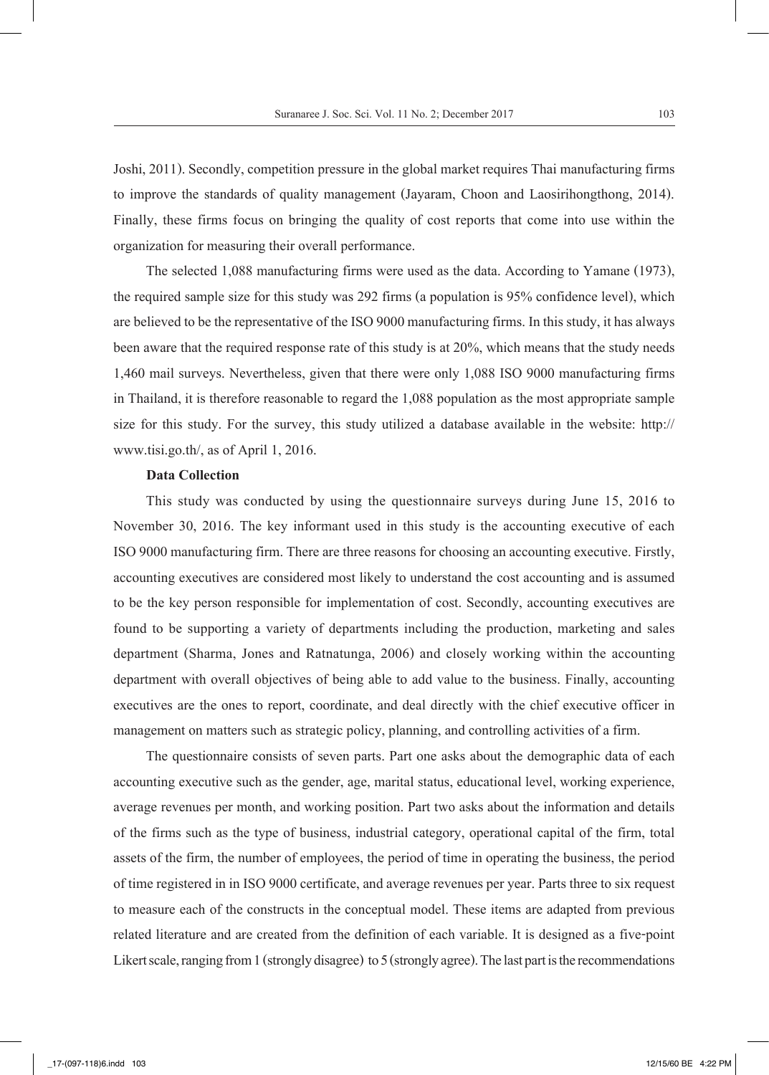Joshi, 2011). Secondly, competition pressure in the global market requires Thai manufacturing firms to improve the standards of quality management (Jayaram, Choon and Laosirihongthong, 2014). Finally, these firms focus on bringing the quality of cost reports that come into use within the organization for measuring their overall performance.

The selected 1,088 manufacturing firms were used as the data. According to Yamane (1973), the required sample size for this study was 292 firms (a population is 95% confidence level), which are believed to be the representative of the ISO 9000 manufacturing firms. In this study, it has always been aware that the required response rate of this study is at 20%, which means that the study needs 1,460 mail surveys. Nevertheless, given that there were only 1,088 ISO 9000 manufacturing firms in Thailand, it is therefore reasonable to regard the 1,088 population as the most appropriate sample size for this study. For the survey, this study utilized a database available in the website: http:// www.tisi.go.th/, as of April 1, 2016.

#### **Data Collection**

This study was conducted by using the questionnaire surveys during June 15, 2016 to November 30, 2016. The key informant used in this study is the accounting executive of each ISO 9000 manufacturing firm. There are three reasons for choosing an accounting executive. Firstly, accounting executives are considered most likely to understand the cost accounting and is assumed to be the key person responsible for implementation of cost. Secondly, accounting executives are found to be supporting a variety of departments including the production, marketing and sales department (Sharma, Jones and Ratnatunga, 2006) and closely working within the accounting department with overall objectives of being able to add value to the business. Finally, accounting executives are the ones to report, coordinate, and deal directly with the chief executive officer in management on matters such as strategic policy, planning, and controlling activities of a firm.

The questionnaire consists of seven parts. Part one asks about the demographic data of each accounting executive such as the gender, age, marital status, educational level, working experience, average revenues per month, and working position. Part two asks about the information and details of the firms such as the type of business, industrial category, operational capital of the firm, total assets of the firm, the number of employees, the period of time in operating the business, the period of time registered in in ISO 9000 certificate, and average revenues per year. Parts three to six request to measure each of the constructs in the conceptual model. These items are adapted from previous related literature and are created from the definition of each variable. It is designed as a five-point Likert scale, ranging from 1 (strongly disagree) to 5 (strongly agree). The last part is the recommendations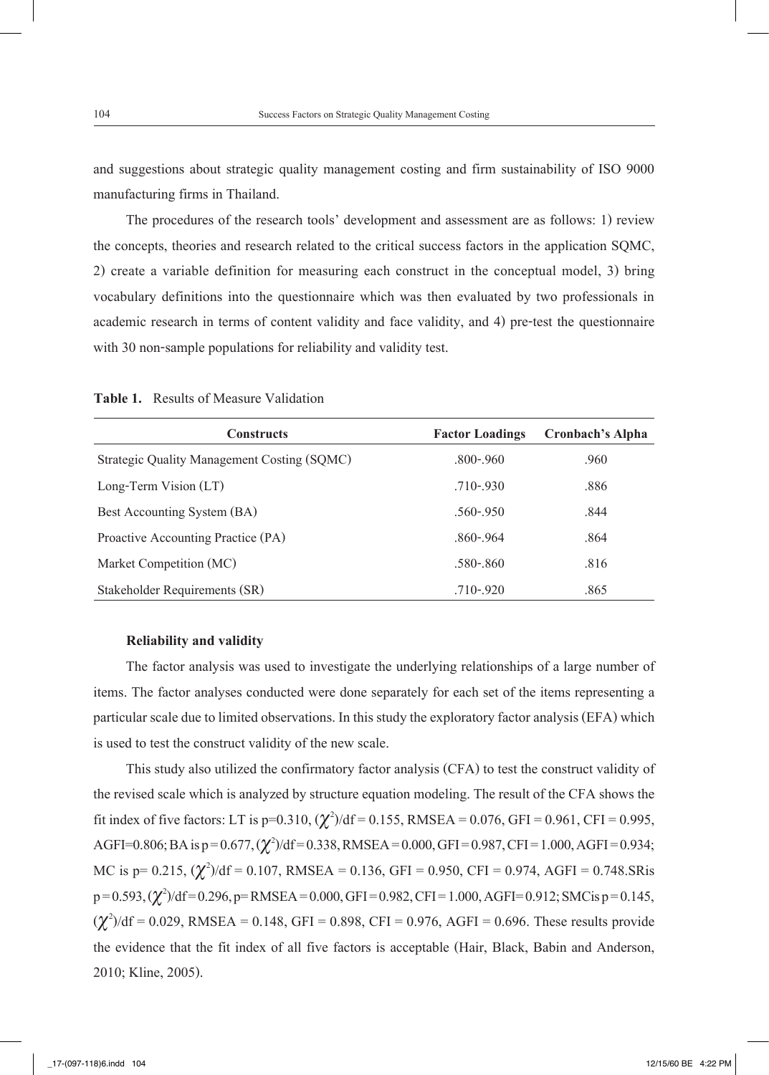and suggestions about strategic quality management costing and firm sustainability of ISO 9000 manufacturing firms in Thailand.

The procedures of the research tools' development and assessment are as follows: 1) review the concepts, theories and research related to the critical success factors in the application SQMC, 2) create a variable definition for measuring each construct in the conceptual model, 3) bring vocabulary definitions into the questionnaire which was then evaluated by two professionals in academic research in terms of content validity and face validity, and 4) pre-test the questionnaire with 30 non-sample populations for reliability and validity test.

| <b>Constructs</b>                           | <b>Factor Loadings</b> | <b>Cronbach's Alpha</b> |
|---------------------------------------------|------------------------|-------------------------|
| Strategic Quality Management Costing (SQMC) | $.800 - .960$          | .960                    |
| Long-Term Vision (LT)                       | $.710 - .930$          | .886                    |
| Best Accounting System (BA)                 | $.560 - .950$          | .844                    |
| Proactive Accounting Practice (PA)          | $.860 - .964$          | .864                    |
| Market Competition (MC)                     | .580-.860              | .816                    |

Stakeholder Requirements (SR) .710-.920 .865

**Table 1.** Results of Measure Validation

#### **Reliability and validity**

The factor analysis was used to investigate the underlying relationships of a large number of items. The factor analyses conducted were done separately for each set of the items representing a particular scale due to limited observations. In this study the exploratory factor analysis (EFA) which is used to test the construct validity of the new scale.

This study also utilized the confirmatory factor analysis (CFA) to test the construct validity of the revised scale which is analyzed by structure equation modeling. The result of the CFA shows the fit index of five factors: LT is p=0.310,  $(\chi^2)/df = 0.155$ , RMSEA = 0.076, GFI = 0.961, CFI = 0.995, AGFI=0.806; BA is p = 0.677, ( $\chi^2$ )/df = 0.338, RMSEA = 0.000, GFI = 0.987, CFI = 1.000, AGFI = 0.934; MC is p= 0.215, ( $\chi^2$ )/df = 0.107, RMSEA = 0.136, GFI = 0.950, CFI = 0.974, AGFI = 0.748.SRis p=0.593, ( $\chi^2$ )/df=0.296, p=RMSEA = 0.000, GFI = 0.982, CFI = 1.000, AGFI=0.912; SMCis p=0.145,  $(\chi^2)/df = 0.029$ , RMSEA = 0.148, GFI = 0.898, CFI = 0.976, AGFI = 0.696. These results provide the evidence that the fit index of all five factors is acceptable (Hair, Black, Babin and Anderson, 2010; Kline, 2005).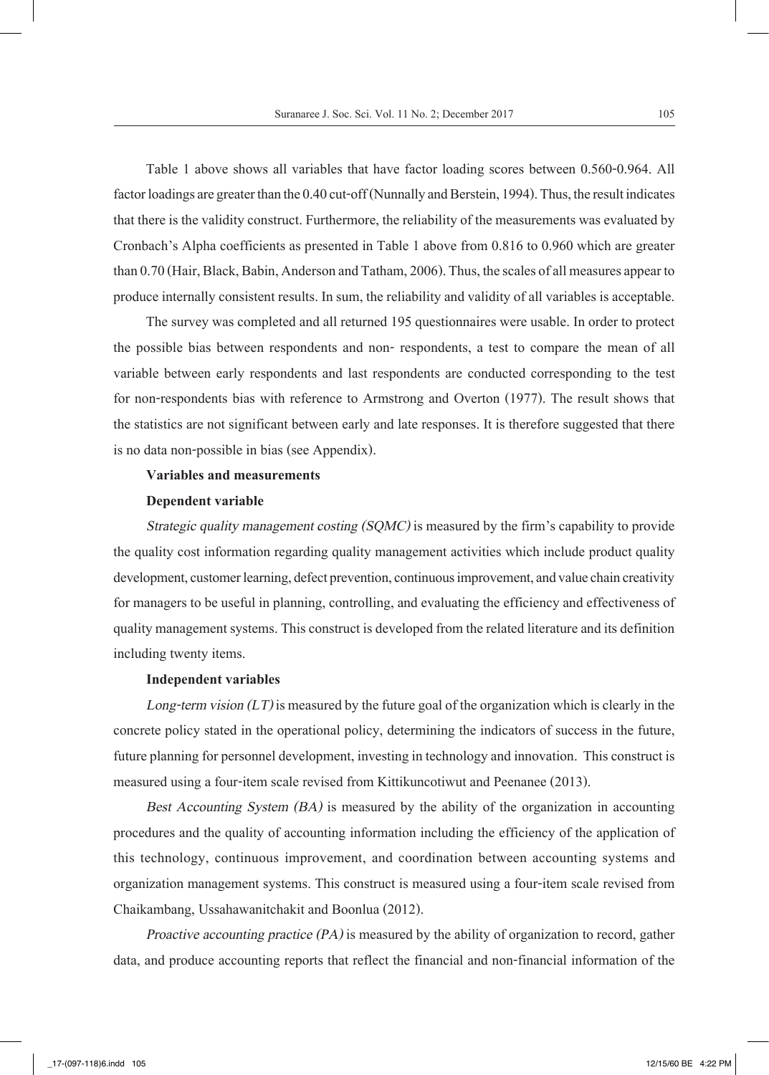Table 1 above shows all variables that have factor loading scores between 0.560-0.964. All factor loadings are greater than the 0.40 cut-off (Nunnally and Berstein, 1994). Thus, the result indicates that there is the validity construct. Furthermore, the reliability of the measurements was evaluated by Cronbach's Alpha coefficients as presented in Table 1 above from 0.816 to 0.960 which are greater than 0.70 (Hair, Black, Babin, Anderson and Tatham, 2006). Thus, the scales of all measures appear to produce internally consistent results. In sum, the reliability and validity of all variables is acceptable.

The survey was completed and all returned 195 questionnaires were usable. In order to protect the possible bias between respondents and non- respondents, a test to compare the mean of all variable between early respondents and last respondents are conducted corresponding to the test for non-respondents bias with reference to Armstrong and Overton (1977). The result shows that the statistics are not significant between early and late responses. It is therefore suggested that there is no data non-possible in bias (see Appendix).

#### **Variables and measurements**

#### **Dependent variable**

*Strategic quality management costing (SQMC)* is measured by the firm's capability to provide the quality cost information regarding quality management activities which include product quality development, customer learning, defect prevention, continuous improvement, and value chain creativity for managers to be useful in planning, controlling, and evaluating the efficiency and effectiveness of quality management systems. This construct is developed from the related literature and its definition including twenty items.

#### **Independent variables**

*Long-term vision (LT)* is measured by the future goal of the organization which is clearly in the concrete policy stated in the operational policy, determining the indicators of success in the future, future planning for personnel development, investing in technology and innovation. This construct is measured using a four-item scale revised from Kittikuncotiwut and Peenanee (2013).

*Best Accounting System (BA)* is measured by the ability of the organization in accounting procedures and the quality of accounting information including the efficiency of the application of this technology, continuous improvement, and coordination between accounting systems and organization management systems. This construct is measured using a four-item scale revised from Chaikambang, Ussahawanitchakit and Boonlua (2012).

*Proactive accounting practice (PA)* is measured by the ability of organization to record, gather data, and produce accounting reports that reflect the financial and non-financial information of the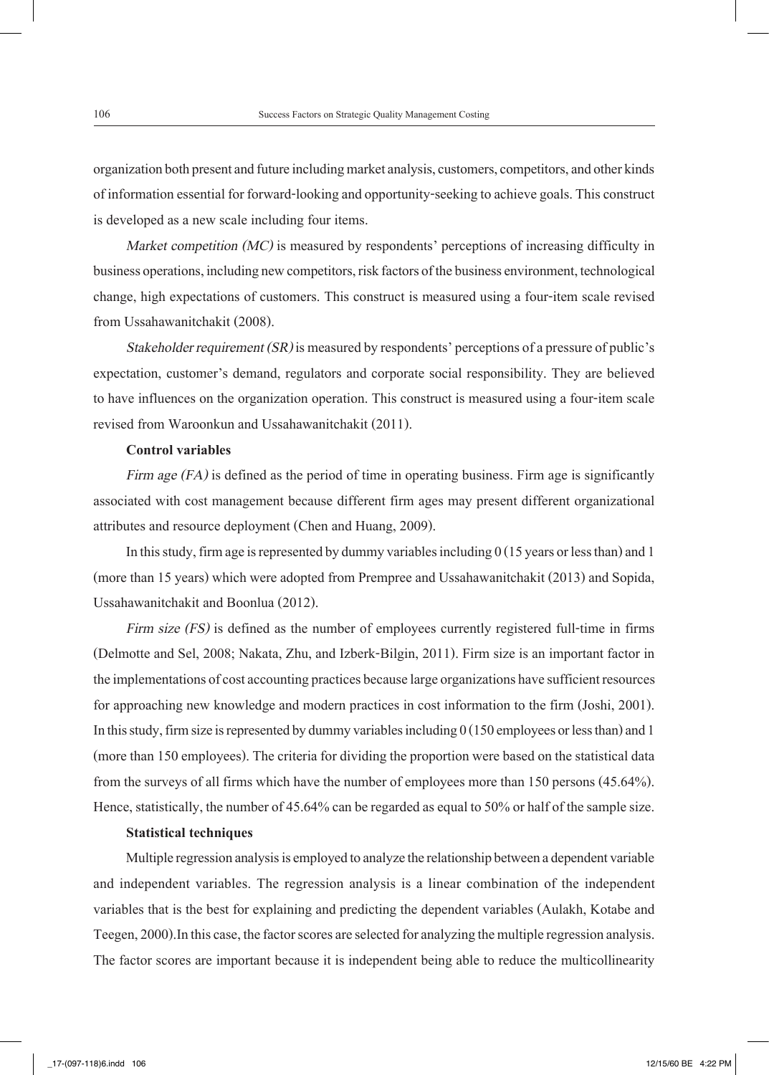organization both present and future including market analysis, customers, competitors, and other kinds of information essential for forward-looking and opportunity-seeking to achieve goals. This construct is developed as a new scale including four items.

*Market competition (MC)* is measured by respondents' perceptions of increasing difficulty in business operations, including new competitors, risk factors of the business environment, technological change, high expectations of customers. This construct is measured using a four-item scale revised from Ussahawanitchakit (2008).

*Stakeholder requirement (SR)* is measured by respondents' perceptions of a pressure of public's expectation, customer's demand, regulators and corporate social responsibility. They are believed to have influences on the organization operation. This construct is measured using a four-item scale revised from Waroonkun and Ussahawanitchakit (2011).

#### **Control variables**

*Firm age (FA)* is defined as the period of time in operating business. Firm age is significantly associated with cost management because different firm ages may present different organizational attributes and resource deployment (Chen and Huang, 2009).

In this study, firm age is represented by dummy variables including  $0(15$  years or less than) and 1 (more than 15 years) which were adopted from Prempree and Ussahawanitchakit (2013) and Sopida, Ussahawanitchakit and Boonlua (2012).

*Firm size (FS)* is defined as the number of employees currently registered full-time in firms (Delmotte and Sel, 2008; Nakata, Zhu, and Izberk-Bilgin, 2011). Firm size is an important factor in the implementations of cost accounting practices because large organizations have sufficient resources for approaching new knowledge and modern practices in cost information to the firm (Joshi, 2001). In this study, firm size is represented by dummy variables including 0 (150 employees or less than) and 1 (more than 150 employees). The criteria for dividing the proportion were based on the statistical data from the surveys of all firms which have the number of employees more than 150 persons (45.64%). Hence, statistically, the number of 45.64% can be regarded as equal to 50% or half of the sample size.

#### **Statistical techniques**

Multiple regression analysis is employed to analyze the relationship between a dependent variable and independent variables. The regression analysis is a linear combination of the independent variables that is the best for explaining and predicting the dependent variables (Aulakh, Kotabe and Teegen, 2000).In this case, the factor scores are selected for analyzing the multiple regression analysis. The factor scores are important because it is independent being able to reduce the multicollinearity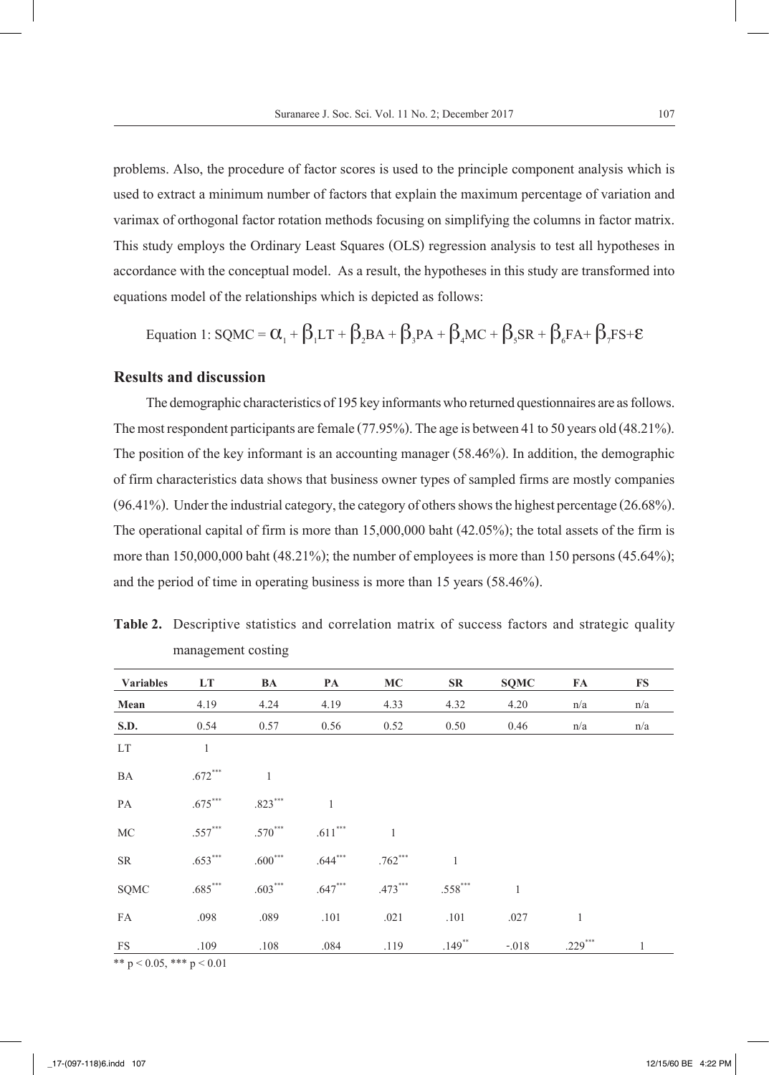problems. Also, the procedure of factor scores is used to the principle component analysis which is used to extract a minimum number of factors that explain the maximum percentage of variation and varimax of orthogonal factor rotation methods focusing on simplifying the columns in factor matrix. This study employs the Ordinary Least Squares (OLS) regression analysis to test all hypotheses in accordance with the conceptual model. As a result, the hypotheses in this study are transformed into equations model of the relationships which is depicted as follows:

$$
\text{Equation 1: SQMC} = \alpha_{1} + \beta_{1}LT + \beta_{2}BA + \beta_{3}PA + \beta_{4}MC + \beta_{5}SR + \beta_{6}FA + \beta_{7}Fs + \epsilon
$$

#### **Results and discussion**

The demographic characteristics of 195 key informants who returned questionnaires are as follows. The most respondent participants are female (77.95%). The age is between 41 to 50 years old (48.21%). The position of the key informant is an accounting manager (58.46%). In addition, the demographic of firm characteristics data shows that business owner types of sampled firms are mostly companies (96.41%). Under the industrial category, the category of others shows the highest percentage (26.68%). The operational capital of firm is more than 15,000,000 baht (42.05%); the total assets of the firm is more than 150,000,000 baht (48.21%); the number of employees is more than 150 persons (45.64%); and the period of time in operating business is more than 15 years (58.46%).

| <b>Variables</b>               | LT           | BA           | PA        | MC           | SR                   | <b>SQMC</b>  | FA           | FS  |
|--------------------------------|--------------|--------------|-----------|--------------|----------------------|--------------|--------------|-----|
| Mean                           | 4.19         | 4.24         | 4.19      | 4.33         | 4.32                 | 4.20         | n/a          | n/a |
| <b>S.D.</b>                    | 0.54         | 0.57         | 0.56      | 0.52         | 0.50                 | 0.46         | n/a          | n/a |
| LT                             | $\mathbf{1}$ |              |           |              |                      |              |              |     |
| BA                             | $.672***$    | $\mathbf{1}$ |           |              |                      |              |              |     |
| PA                             | $.675***$    | $.823***$    | 1         |              |                      |              |              |     |
| MC                             | $.557***$    | $.570***$    | $.611***$ | $\mathbf{1}$ |                      |              |              |     |
| <b>SR</b>                      | $.653***$    | $.600***$    | $.644***$ | $.762***$    | 1                    |              |              |     |
| SQMC                           | $.685***$    | $.603***$    | $.647***$ | $.473***$    | $.558***$            | $\mathbf{1}$ |              |     |
| FA                             | .098         | .089         | .101      | .021         | .101                 | .027         | $\mathbf{1}$ |     |
| <b>FS</b>                      | .109         | .108         | .084      | .119         | $.149$ <sup>**</sup> | $-.018$      | $.229***$    | 1   |
| ** $p < 0.05$ , *** $p < 0.01$ |              |              |           |              |                      |              |              |     |

**Table 2.** Descriptive statistics and correlation matrix of success factors and strategic quality management costing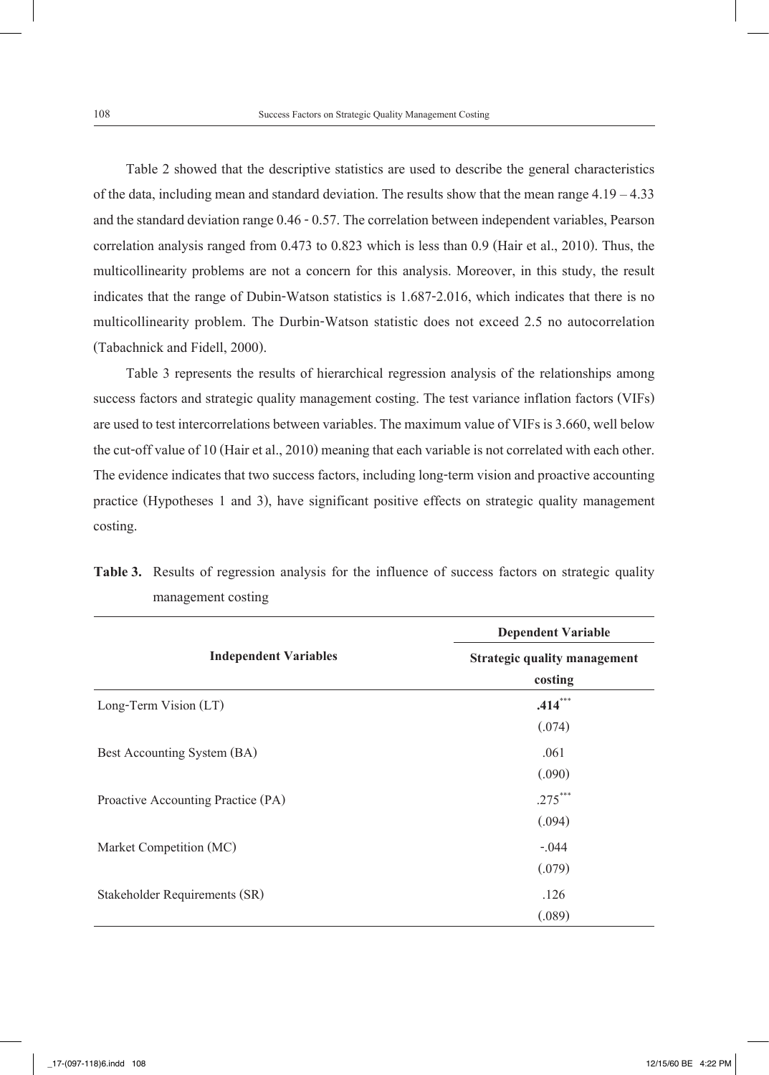Table 2 showed that the descriptive statistics are used to describe the general characteristics of the data, including mean and standard deviation. The results show that the mean range 4.19 – 4.33 and the standard deviation range 0.46 - 0.57. The correlation between independent variables, Pearson correlation analysis ranged from 0.473 to 0.823 which is less than 0.9 (Hair et al., 2010). Thus, the multicollinearity problems are not a concern for this analysis. Moreover, in this study, the result indicates that the range of Dubin-Watson statistics is 1.687-2.016, which indicates that there is no multicollinearity problem. The Durbin-Watson statistic does not exceed 2.5 no autocorrelation (Tabachnick and Fidell, 2000).

Table 3 represents the results of hierarchical regression analysis of the relationships among success factors and strategic quality management costing. The test variance inflation factors (VIFs) are used to test intercorrelations between variables. The maximum value of VIFs is 3.660, well below the cut-off value of 10 (Hair et al., 2010) meaning that each variable is not correlated with each other. The evidence indicates that two success factors, including long-term vision and proactive accounting practice (Hypotheses 1 and 3), have significant positive effects on strategic quality management costing.

|                                    | <b>Dependent Variable</b>               |  |  |  |
|------------------------------------|-----------------------------------------|--|--|--|
| <b>Independent Variables</b>       | Strategic quality management<br>costing |  |  |  |
| Long-Term Vision (LT)              | $.414***$<br>(.074)                     |  |  |  |
| Best Accounting System (BA)        | .061<br>(.090)                          |  |  |  |
| Proactive Accounting Practice (PA) | $.275***$<br>(.094)                     |  |  |  |
| Market Competition (MC)            | $-.044$<br>(.079)                       |  |  |  |
| Stakeholder Requirements (SR)      | .126<br>(.089)                          |  |  |  |

**Table 3.** Results of regression analysis for the influence of success factors on strategic quality management costing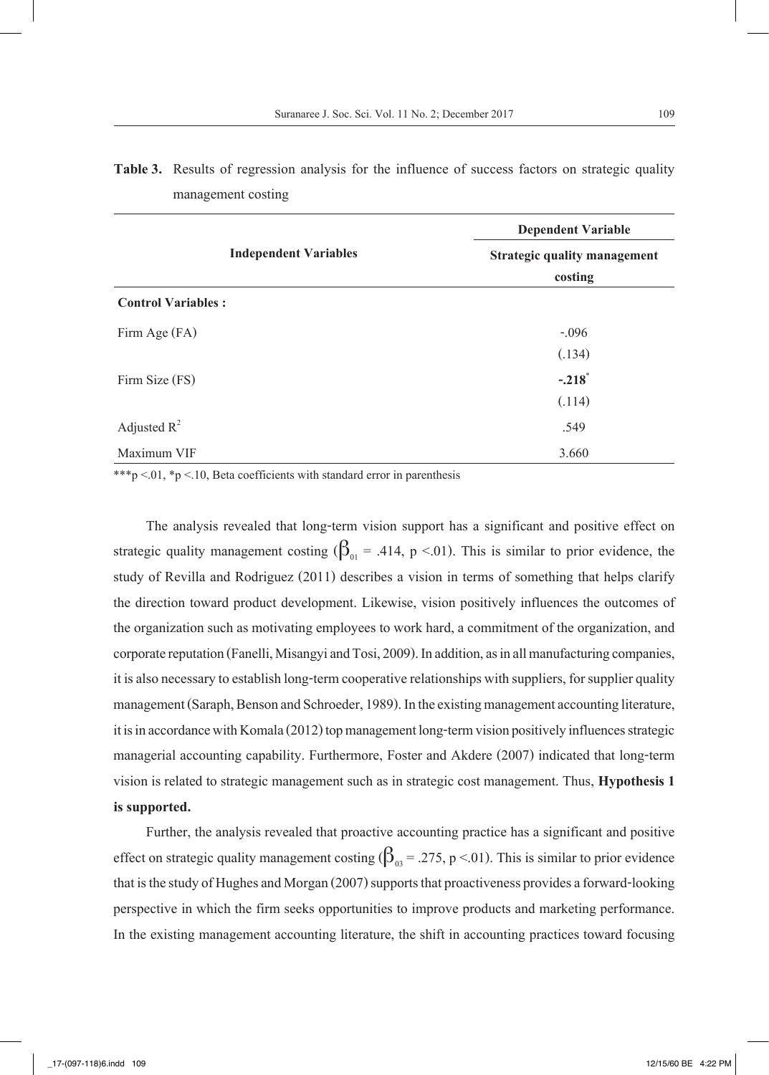|                              | <b>Dependent Variable</b><br>Strategic quality management |  |  |  |
|------------------------------|-----------------------------------------------------------|--|--|--|
| <b>Independent Variables</b> |                                                           |  |  |  |
|                              | costing                                                   |  |  |  |
| <b>Control Variables:</b>    |                                                           |  |  |  |
| Firm Age (FA)                | $-.096$                                                   |  |  |  |
|                              | (.134)                                                    |  |  |  |
| Firm Size (FS)               | $-.218$ <sup>*</sup>                                      |  |  |  |
|                              | (.114)                                                    |  |  |  |
| Adjusted $R^2$               | .549                                                      |  |  |  |
| Maximum VIF                  | 3.660                                                     |  |  |  |

| <b>Table 3.</b> Results of regression analysis for the influence of success factors on strategic quality |  |  |  |
|----------------------------------------------------------------------------------------------------------|--|--|--|
| management costing                                                                                       |  |  |  |

\*\*\*p <.01, \*p <.10, Beta coefficients with standard error in parenthesis

The analysis revealed that long-term vision support has a significant and positive effect on strategic quality management costing  $(\beta_{01} = .414, p < .01)$ . This is similar to prior evidence, the study of Revilla and Rodriguez (2011) describes a vision in terms of something that helps clarify the direction toward product development. Likewise, vision positively influences the outcomes of the organization such as motivating employees to work hard, a commitment of the organization, and corporate reputation (Fanelli, Misangyi and Tosi, 2009). In addition, as in all manufacturing companies, it is also necessary to establish long-term cooperative relationships with suppliers, for supplier quality management (Saraph, Benson and Schroeder, 1989). In the existing management accounting literature, it is in accordance with Komala (2012) top management long-term vision positively influences strategic managerial accounting capability. Furthermore, Foster and Akdere (2007) indicated that long-term vision is related to strategic management such as in strategic cost management. Thus, **Hypothesis 1 is supported.**

Further, the analysis revealed that proactive accounting practice has a significant and positive effect on strategic quality management costing  $(\beta_{03} = .275, p < .01)$ . This is similar to prior evidence that is the study of Hughes and Morgan (2007) supports that proactiveness provides a forward-looking perspective in which the firm seeks opportunities to improve products and marketing performance. In the existing management accounting literature, the shift in accounting practices toward focusing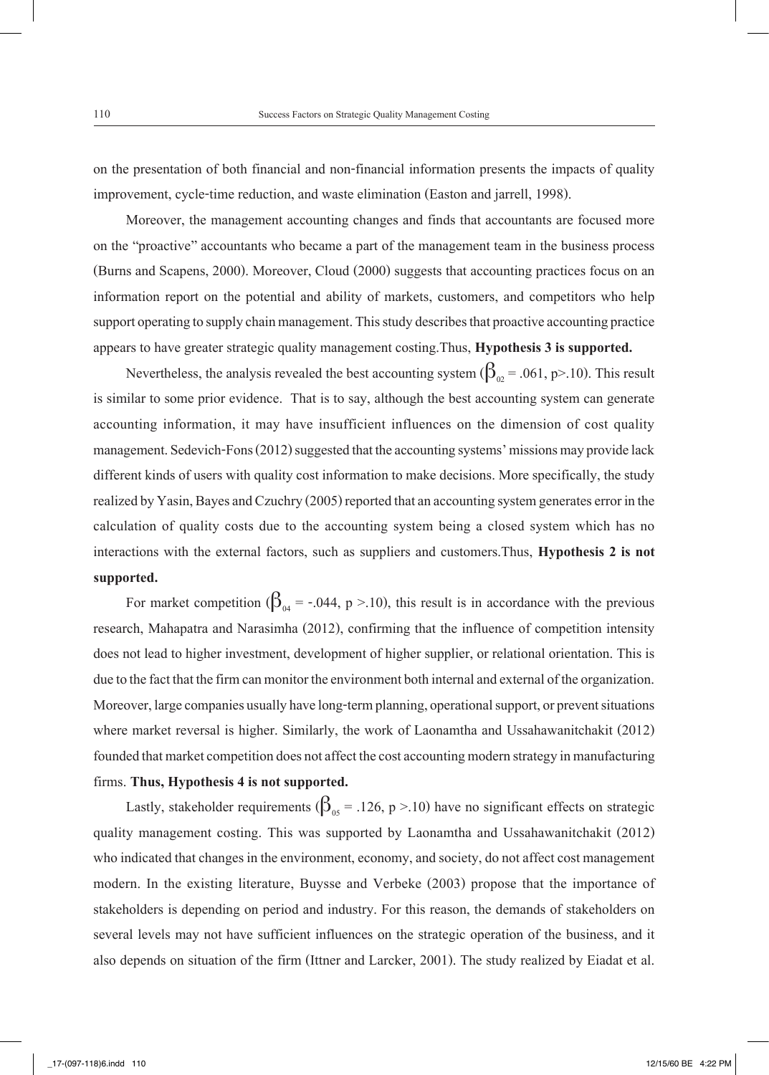on the presentation of both financial and non-financial information presents the impacts of quality improvement, cycle-time reduction, and waste elimination (Easton and jarrell, 1998).

Moreover, the management accounting changes and finds that accountants are focused more on the "proactive" accountants who became a part of the management team in the business process (Burns and Scapens, 2000). Moreover, Cloud (2000) suggests that accounting practices focus on an information report on the potential and ability of markets, customers, and competitors who help support operating to supply chain management. This study describes that proactive accounting practice appears to have greater strategic quality management costing.Thus, **Hypothesis 3 is supported.**

Nevertheless, the analysis revealed the best accounting system ( $\beta_{02}$  = .061, p>.10). This result is similar to some prior evidence. That is to say, although the best accounting system can generate accounting information, it may have insufficient influences on the dimension of cost quality management. Sedevich-Fons (2012) suggested that the accounting systems' missions may provide lack different kinds of users with quality cost information to make decisions. More specifically, the study realized by Yasin, Bayes and Czuchry (2005) reported that an accounting system generates error in the calculation of quality costs due to the accounting system being a closed system which has no interactions with the external factors, such as suppliers and customers.Thus, **Hypothesis 2 is not supported.**

For market competition ( $\beta_{04}$  = -.044, p >.10), this result is in accordance with the previous research, Mahapatra and Narasimha (2012), confirming that the influence of competition intensity does not lead to higher investment, development of higher supplier, or relational orientation. This is due to the fact that the firm can monitor the environment both internal and external of the organization. Moreover, large companies usually have long-term planning, operational support, or prevent situations where market reversal is higher. Similarly, the work of Laonamtha and Ussahawanitchakit (2012) founded that market competition does not affect the cost accounting modern strategy in manufacturing firms. **Thus, Hypothesis 4 is not supported.**

Lastly, stakeholder requirements ( $\beta_{05}$  = .126, p >.10) have no significant effects on strategic quality management costing. This was supported by Laonamtha and Ussahawanitchakit (2012) who indicated that changes in the environment, economy, and society, do not affect cost management modern. In the existing literature, Buysse and Verbeke (2003) propose that the importance of stakeholders is depending on period and industry. For this reason, the demands of stakeholders on several levels may not have sufficient influences on the strategic operation of the business, and it also depends on situation of the firm (Ittner and Larcker, 2001). The study realized by Eiadat et al.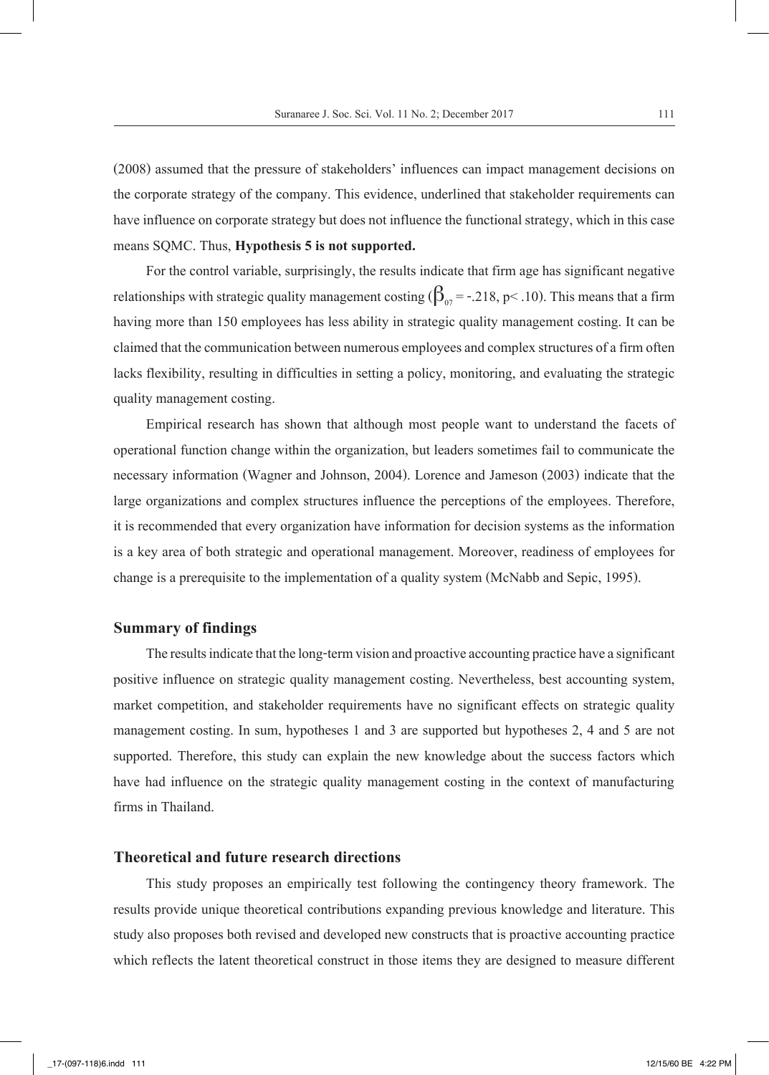(2008) assumed that the pressure of stakeholders' influences can impact management decisions on the corporate strategy of the company. This evidence, underlined that stakeholder requirements can have influence on corporate strategy but does not influence the functional strategy, which in this case means SQMC. Thus, **Hypothesis 5 is not supported.**

For the control variable, surprisingly, the results indicate that firm age has significant negative relationships with strategic quality management costing  $(\beta_{07} = -.218, p < .10)$ . This means that a firm having more than 150 employees has less ability in strategic quality management costing. It can be claimed that the communication between numerous employees and complex structures of a firm often lacks flexibility, resulting in difficulties in setting a policy, monitoring, and evaluating the strategic quality management costing.

Empirical research has shown that although most people want to understand the facets of operational function change within the organization, but leaders sometimes fail to communicate the necessary information (Wagner and Johnson, 2004). Lorence and Jameson (2003) indicate that the large organizations and complex structures influence the perceptions of the employees. Therefore, it is recommended that every organization have information for decision systems as the information is a key area of both strategic and operational management. Moreover, readiness of employees for change is a prerequisite to the implementation of a quality system (McNabb and Sepic, 1995).

#### **Summary of findings**

The results indicate that the long-term vision and proactive accounting practice have a significant positive influence on strategic quality management costing. Nevertheless, best accounting system, market competition, and stakeholder requirements have no significant effects on strategic quality management costing. In sum, hypotheses 1 and 3 are supported but hypotheses 2, 4 and 5 are not supported. Therefore, this study can explain the new knowledge about the success factors which have had influence on the strategic quality management costing in the context of manufacturing firms in Thailand.

#### **Theoretical and future research directions**

This study proposes an empirically test following the contingency theory framework. The results provide unique theoretical contributions expanding previous knowledge and literature. This study also proposes both revised and developed new constructs that is proactive accounting practice which reflects the latent theoretical construct in those items they are designed to measure different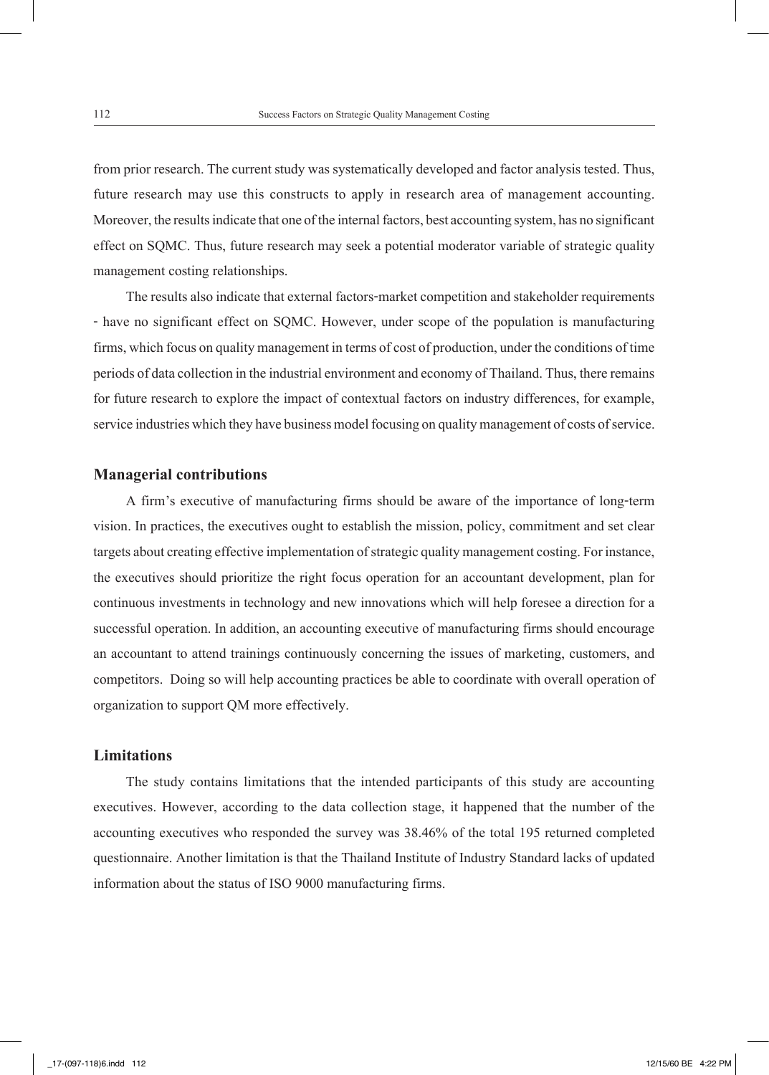from prior research. The current study was systematically developed and factor analysis tested. Thus, future research may use this constructs to apply in research area of management accounting. Moreover, the results indicate that one of the internal factors, best accounting system, has no significant effect on SQMC. Thus, future research may seek a potential moderator variable of strategic quality management costing relationships.

The results also indicate that external factors-market competition and stakeholder requirements - have no significant effect on SQMC. However, under scope of the population is manufacturing firms, which focus on quality management in terms of cost of production, under the conditions of time periods of data collection in the industrial environment and economy of Thailand. Thus, there remains for future research to explore the impact of contextual factors on industry differences, for example, service industries which they have business model focusing on quality management of costs of service.

#### **Managerial contributions**

A firm's executive of manufacturing firms should be aware of the importance of long-term vision. In practices, the executives ought to establish the mission, policy, commitment and set clear targets about creating effective implementation of strategic quality management costing. For instance, the executives should prioritize the right focus operation for an accountant development, plan for continuous investments in technology and new innovations which will help foresee a direction for a successful operation. In addition, an accounting executive of manufacturing firms should encourage an accountant to attend trainings continuously concerning the issues of marketing, customers, and competitors. Doing so will help accounting practices be able to coordinate with overall operation of organization to support QM more effectively.

#### **Limitations**

The study contains limitations that the intended participants of this study are accounting executives. However, according to the data collection stage, it happened that the number of the accounting executives who responded the survey was 38.46% of the total 195 returned completed questionnaire. Another limitation is that the Thailand Institute of Industry Standard lacks of updated information about the status of ISO 9000 manufacturing firms.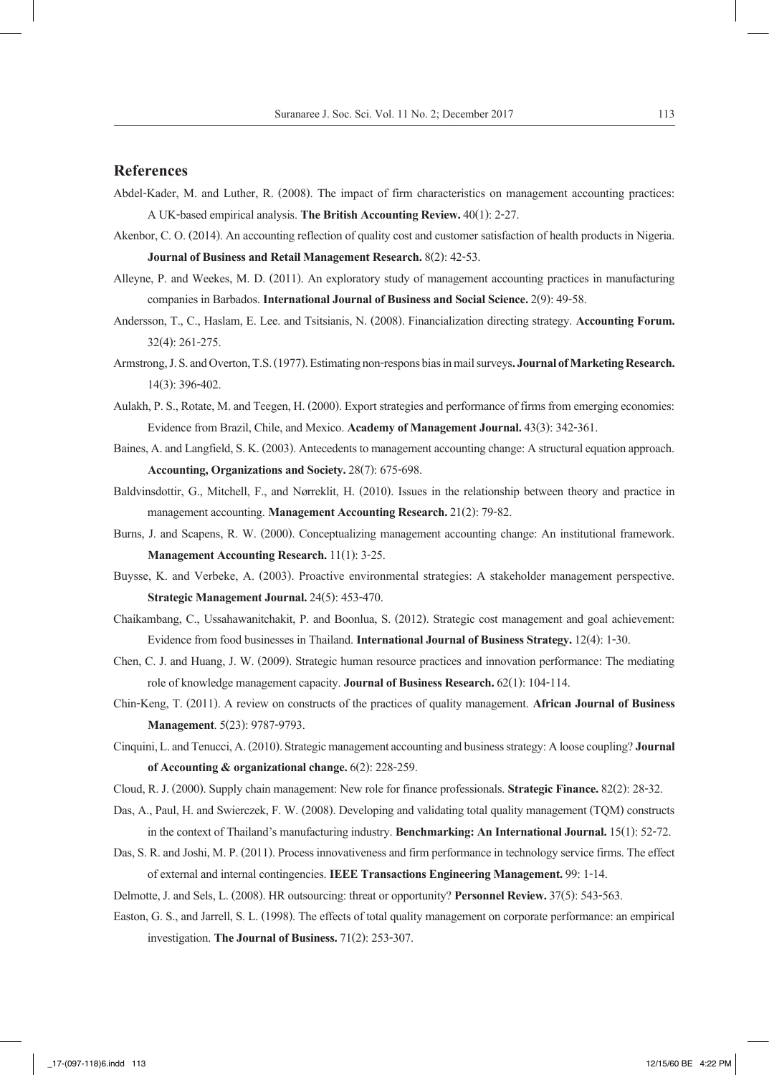#### **References**

- Abdel-Kader, M. and Luther, R. (2008). The impact of firm characteristics on management accounting practices: A UK-based empirical analysis. **The British Accounting Review.** 40(1): 2-27.
- Akenbor, C. O. (2014). An accounting reflection of quality cost and customer satisfaction of health products in Nigeria. **Journal of Business and Retail Management Research.** 8(2): 42-53.
- Alleyne, P. and Weekes, M. D. (2011). An exploratory study of management accounting practices in manufacturing companies in Barbados. **International Journal of Business and Social Science.** 2(9): 49-58.
- Andersson, T., C., Haslam, E. Lee. and Tsitsianis, N. (2008). Financialization directing strategy. **Accounting Forum.**  32(4): 261-275.
- Armstrong, J. S. and Overton, T.S. (1977). Estimating non-respons bias in mail surveys**. Journal of Marketing Research.**  14(3): 396-402.
- Aulakh, P. S., Rotate, M. and Teegen, H. (2000). Export strategies and performance of firms from emerging economies: Evidence from Brazil, Chile, and Mexico. **Academy of Management Journal.** 43(3): 342-361.
- Baines, A. and Langfield, S. K. (2003). Antecedents to management accounting change: A structural equation approach. **Accounting, Organizations and Society.** 28(7): 675-698.
- Baldvinsdottir, G., Mitchell, F., and Nørreklit, H. (2010). Issues in the relationship between theory and practice in management accounting. **Management Accounting Research.** 21(2): 79-82.
- Burns, J. and Scapens, R. W. (2000). Conceptualizing management accounting change: An institutional framework. **Management Accounting Research.** 11(1): 3-25.
- Buysse, K. and Verbeke, A. (2003). Proactive environmental strategies: A stakeholder management perspective. **Strategic Management Journal.** 24(5): 453-470.
- Chaikambang, C., Ussahawanitchakit, P. and Boonlua, S. (2012). Strategic cost management and goal achievement: Evidence from food businesses in Thailand. **International Journal of Business Strategy.** 12(4): 1-30.
- Chen, C. J. and Huang, J. W. (2009). Strategic human resource practices and innovation performance: The mediating role of knowledge management capacity. **Journal of Business Research.** 62(1): 104-114.
- Chin-Keng, T. (2011). A review on constructs of the practices of quality management. **African Journal of Business Management**. 5(23): 9787-9793.
- Cinquini, L. and Tenucci, A. (2010). Strategic management accounting and business strategy: A loose coupling? **Journal of Accounting & organizational change.** 6(2): 228-259.
- Cloud, R. J. (2000). Supply chain management: New role for finance professionals. **Strategic Finance.** 82(2): 28-32.
- Das, A., Paul, H. and Swierczek, F. W. (2008). Developing and validating total quality management (TQM) constructs in the context of Thailand's manufacturing industry. **Benchmarking: An International Journal.** 15(1): 52-72.
- Das, S. R. and Joshi, M. P. (2011). Process innovativeness and firm performance in technology service firms. The effect of external and internal contingencies. **IEEE Transactions Engineering Management.** 99: 1-14.
- Delmotte, J. and Sels, L. (2008). HR outsourcing: threat or opportunity? **Personnel Review.** 37(5): 543-563.
- Easton, G. S., and Jarrell, S. L. (1998). The effects of total quality management on corporate performance: an empirical investigation. **The Journal of Business.** 71(2): 253-307.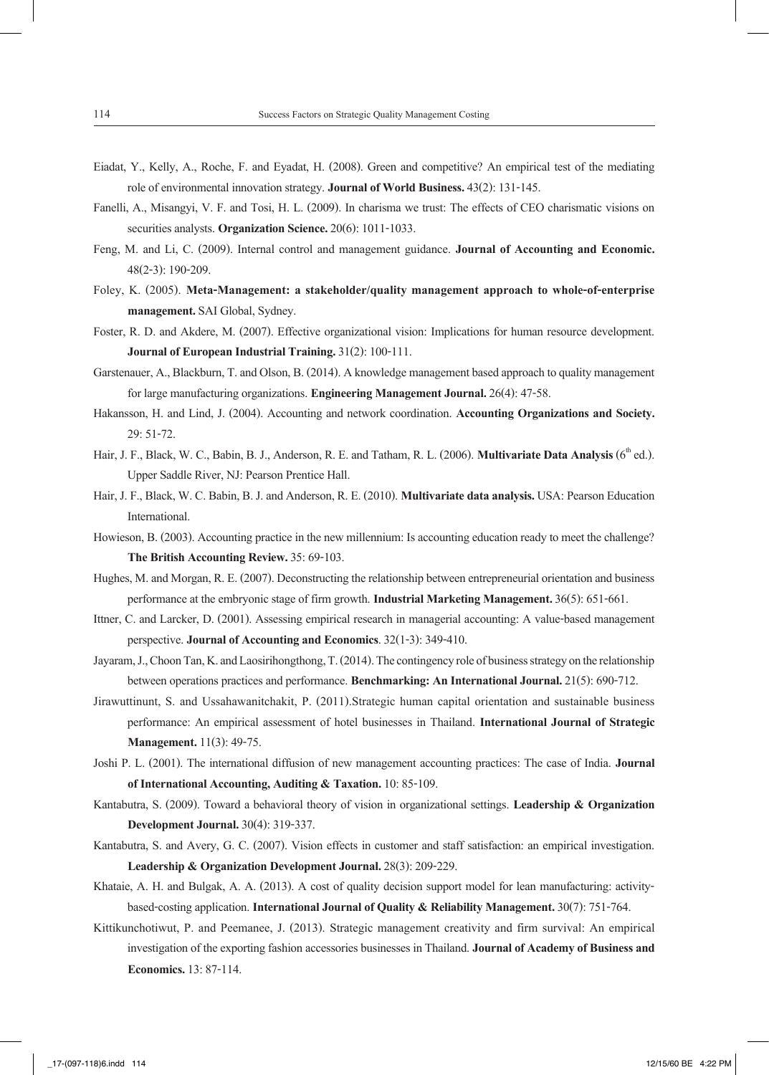- Eiadat, Y., Kelly, A., Roche, F. and Eyadat, H. (2008). Green and competitive? An empirical test of the mediating role of environmental innovation strategy. **Journal of World Business.** 43(2): 131-145.
- Fanelli, A., Misangyi, V. F. and Tosi, H. L. (2009). In charisma we trust: The effects of CEO charismatic visions on securities analysts. **Organization Science.** 20(6): 1011-1033.
- Feng, M. and Li, C. (2009). Internal control and management guidance. **Journal of Accounting and Economic.** 48(2-3): 190-209.
- Foley, K. (2005). **Meta-Management: a stakeholder/quality management approach to whole-of-enterprise management.** SAI Global, Sydney.
- Foster, R. D. and Akdere, M. (2007). Effective organizational vision: Implications for human resource development. **Journal of European Industrial Training.** 31(2): 100-111.
- Garstenauer, A., Blackburn, T. and Olson, B. (2014). A knowledge management based approach to quality management for large manufacturing organizations. **Engineering Management Journal.** 26(4): 47-58.
- Hakansson, H. and Lind, J. (2004). Accounting and network coordination. **Accounting Organizations and Society.**  29: 51-72.
- Hair, J. F., Black, W. C., Babin, B. J., Anderson, R. E. and Tatham, R. L. (2006). **Multivariate Data Analysis** (6<sup>th</sup> ed.). Upper Saddle River, NJ: Pearson Prentice Hall.
- Hair, J. F., Black, W. C. Babin, B. J. and Anderson, R. E. (2010). **Multivariate data analysis.** USA: Pearson Education International.
- Howieson, B. (2003). Accounting practice in the new millennium: Is accounting education ready to meet the challenge? **The British Accounting Review.** 35: 69-103.
- Hughes, M. and Morgan, R. E. (2007). Deconstructing the relationship between entrepreneurial orientation and business performance at the embryonic stage of firm growth. **Industrial Marketing Management.** 36(5): 651-661.
- Ittner, C. and Larcker, D. (2001). Assessing empirical research in managerial accounting: A value-based management perspective. **Journal of Accounting and Economics**. 32(1-3): 349-410.
- Jayaram, J., Choon Tan, K. and Laosirihongthong, T. (2014). The contingency role of business strategy on the relationship between operations practices and performance. **Benchmarking: An International Journal.** 21(5): 690-712.
- Jirawuttinunt, S. and Ussahawanitchakit, P. (2011).Strategic human capital orientation and sustainable business performance: An empirical assessment of hotel businesses in Thailand. **International Journal of Strategic Management.** 11(3): 49-75.
- Joshi P. L. (2001). The international diffusion of new management accounting practices: The case of India. **Journal of International Accounting, Auditing & Taxation.** 10: 85-109.
- Kantabutra, S. (2009). Toward a behavioral theory of vision in organizational settings. **Leadership & Organization Development Journal.** 30(4): 319-337.
- Kantabutra, S. and Avery, G. C. (2007). Vision effects in customer and staff satisfaction: an empirical investigation. **Leadership & Organization Development Journal.** 28(3): 209-229.
- Khataie, A. H. and Bulgak, A. A. (2013). A cost of quality decision support model for lean manufacturing: activitybased-costing application. **International Journal of Quality & Reliability Management.** 30(7): 751-764.
- Kittikunchotiwut, P. and Peemanee, J. (2013). Strategic management creativity and firm survival: An empirical investigation of the exporting fashion accessories businesses in Thailand. **Journal of Academy of Business and Economics.** 13: 87-114.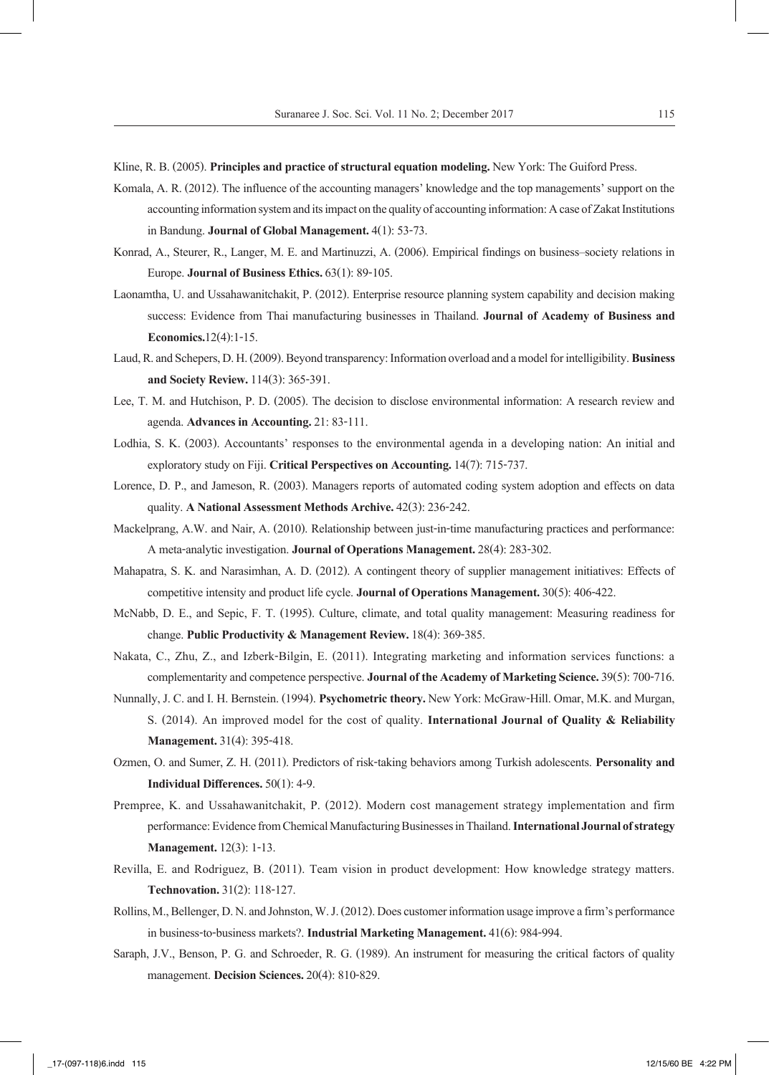Kline, R. B. (2005). **Principles and practice of structural equation modeling.** New York: The Guiford Press.

- Komala, A. R. (2012). The influence of the accounting managers' knowledge and the top managements' support on the accounting information system and its impact on the quality of accounting information: A case of Zakat Institutions in Bandung. **Journal of Global Management.** 4(1): 53-73.
- Konrad, A., Steurer, R., Langer, M. E. and Martinuzzi, A. (2006). Empirical findings on business–society relations in Europe. **Journal of Business Ethics.** 63(1): 89-105.
- Laonamtha, U. and Ussahawanitchakit, P. (2012). Enterprise resource planning system capability and decision making success: Evidence from Thai manufacturing businesses in Thailand. **Journal of Academy of Business and Economics.**12(4):1-15.
- Laud, R. and Schepers, D. H. (2009). Beyond transparency: Information overload and a model for intelligibility. **Business and Society Review.** 114(3): 365-391.
- Lee, T. M. and Hutchison, P. D. (2005). The decision to disclose environmental information: A research review and agenda. **Advances in Accounting.** 21: 83-111.
- Lodhia, S. K. (2003). Accountants' responses to the environmental agenda in a developing nation: An initial and exploratory study on Fiji. **Critical Perspectives on Accounting.** 14(7): 715-737.
- Lorence, D. P., and Jameson, R. (2003). Managers reports of automated coding system adoption and effects on data quality. **A National Assessment Methods Archive.** 42(3): 236-242.
- Mackelprang, A.W. and Nair, A. (2010). Relationship between just-in-time manufacturing practices and performance: A meta-analytic investigation. **Journal of Operations Management.** 28(4): 283-302.
- Mahapatra, S. K. and Narasimhan, A. D. (2012). A contingent theory of supplier management initiatives: Effects of competitive intensity and product life cycle. **Journal of Operations Management.** 30(5): 406-422.
- McNabb, D. E., and Sepic, F. T. (1995). Culture, climate, and total quality management: Measuring readiness for change. **Public Productivity & Management Review.** 18(4): 369-385.
- Nakata, C., Zhu, Z., and Izberk-Bilgin, E. (2011). Integrating marketing and information services functions: a complementarity and competence perspective. **Journal of the Academy of Marketing Science.** 39(5): 700-716.
- Nunnally, J. C. and I. H. Bernstein. (1994). **Psychometric theory.** New York: McGraw-Hill. Omar, M.K. and Murgan, S. (2014). An improved model for the cost of quality. **International Journal of Quality & Reliability Management.** 31(4): 395-418.
- Ozmen, O. and Sumer, Z. H. (2011). Predictors of risk-taking behaviors among Turkish adolescents. **Personality and Individual Differences.** 50(1): 4-9.
- Prempree, K. and Ussahawanitchakit, P. (2012). Modern cost management strategy implementation and firm performance: Evidence from Chemical Manufacturing Businesses in Thailand. **International Journal of strategy Management.** 12(3): 1-13.
- Revilla, E. and Rodriguez, B. (2011). Team vision in product development: How knowledge strategy matters. **Technovation.** 31(2): 118-127.
- Rollins, M., Bellenger, D. N. and Johnston, W. J. (2012). Does customer information usage improve a firm's performance in business-to-business markets?. **Industrial Marketing Management.** 41(6): 984-994.
- Saraph, J.V., Benson, P. G. and Schroeder, R. G. (1989). An instrument for measuring the critical factors of quality management. **Decision Sciences.** 20(4): 810-829.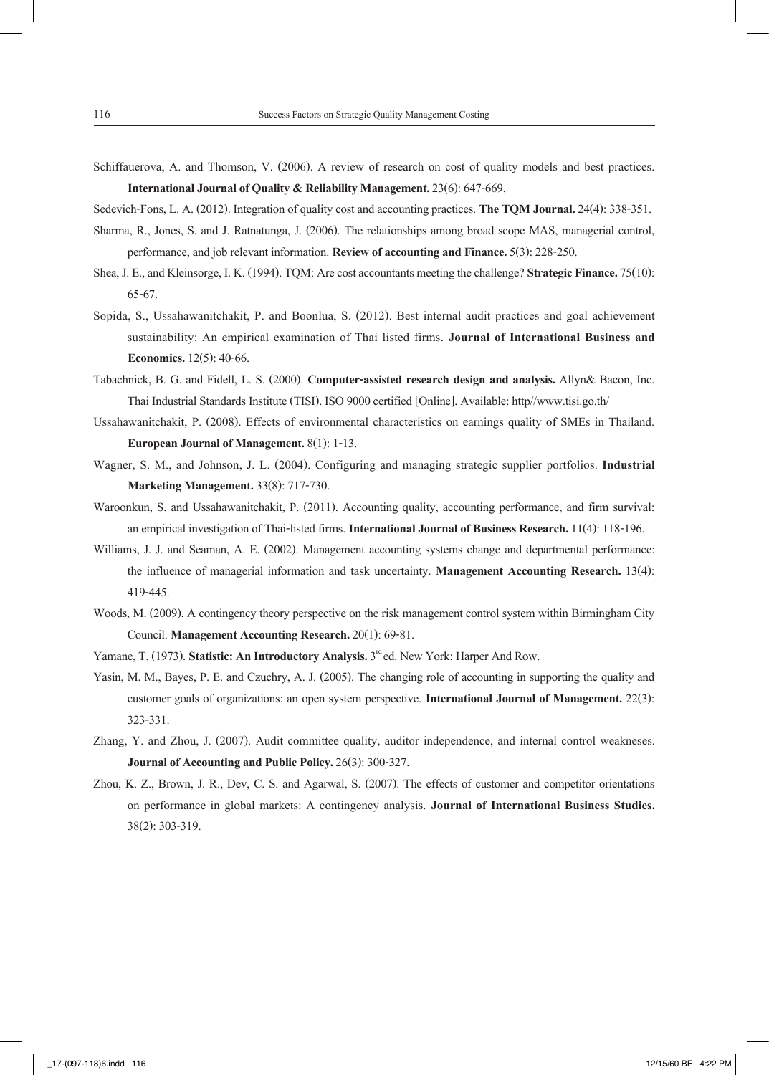Schiffauerova, A. and Thomson, V. (2006). A review of research on cost of quality models and best practices. **International Journal of Quality & Reliability Management.** 23(6): 647-669.

Sedevich-Fons, L. A. (2012). Integration of quality cost and accounting practices. **The TQM Journal.** 24(4): 338-351.

- Sharma, R., Jones, S. and J. Ratnatunga, J. (2006). The relationships among broad scope MAS, managerial control, performance, and job relevant information. **Review of accounting and Finance.** 5(3): 228-250.
- Shea, J. E., and Kleinsorge, I. K. (1994). TQM: Are cost accountants meeting the challenge? **Strategic Finance.** 75(10): 65-67.
- Sopida, S., Ussahawanitchakit, P. and Boonlua, S. (2012). Best internal audit practices and goal achievement sustainability: An empirical examination of Thai listed firms. **Journal of International Business and Economics.** 12(5): 40-66.
- Tabachnick, B. G. and Fidell, L. S. (2000). **Computer-assisted research design and analysis.** Allyn& Bacon, Inc. Thai Industrial Standards Institute (TISI). ISO 9000 certified [Online]. Available: http//www.tisi.go.th/
- Ussahawanitchakit, P. (2008). Effects of environmental characteristics on earnings quality of SMEs in Thailand. **European Journal of Management.** 8(1): 1-13.
- Wagner, S. M., and Johnson, J. L. (2004). Configuring and managing strategic supplier portfolios. **Industrial Marketing Management.** 33(8): 717-730.
- Waroonkun, S. and Ussahawanitchakit, P. (2011). Accounting quality, accounting performance, and firm survival: an empirical investigation of Thai-listed firms. **International Journal of Business Research.** 11(4): 118-196.
- Williams, J. J. and Seaman, A. E. (2002). Management accounting systems change and departmental performance: the influence of managerial information and task uncertainty. **Management Accounting Research.** 13(4): 419-445.
- Woods, M. (2009). A contingency theory perspective on the risk management control system within Birmingham City Council. **Management Accounting Research.** 20(1): 69-81.
- Yamane, T. (1973). **Statistic: An Introductory Analysis.** 3<sup>rd</sup> ed. New York: Harper And Row.
- Yasin, M. M., Bayes, P. E. and Czuchry, A. J. (2005). The changing role of accounting in supporting the quality and customer goals of organizations: an open system perspective. **International Journal of Management.** 22(3): 323-331.
- Zhang, Y. and Zhou, J. (2007). Audit committee quality, auditor independence, and internal control weakneses. **Journal of Accounting and Public Policy.** 26(3): 300-327.
- Zhou, K. Z., Brown, J. R., Dev, C. S. and Agarwal, S. (2007). The effects of customer and competitor orientations on performance in global markets: A contingency analysis. **Journal of International Business Studies.**  38(2): 303-319.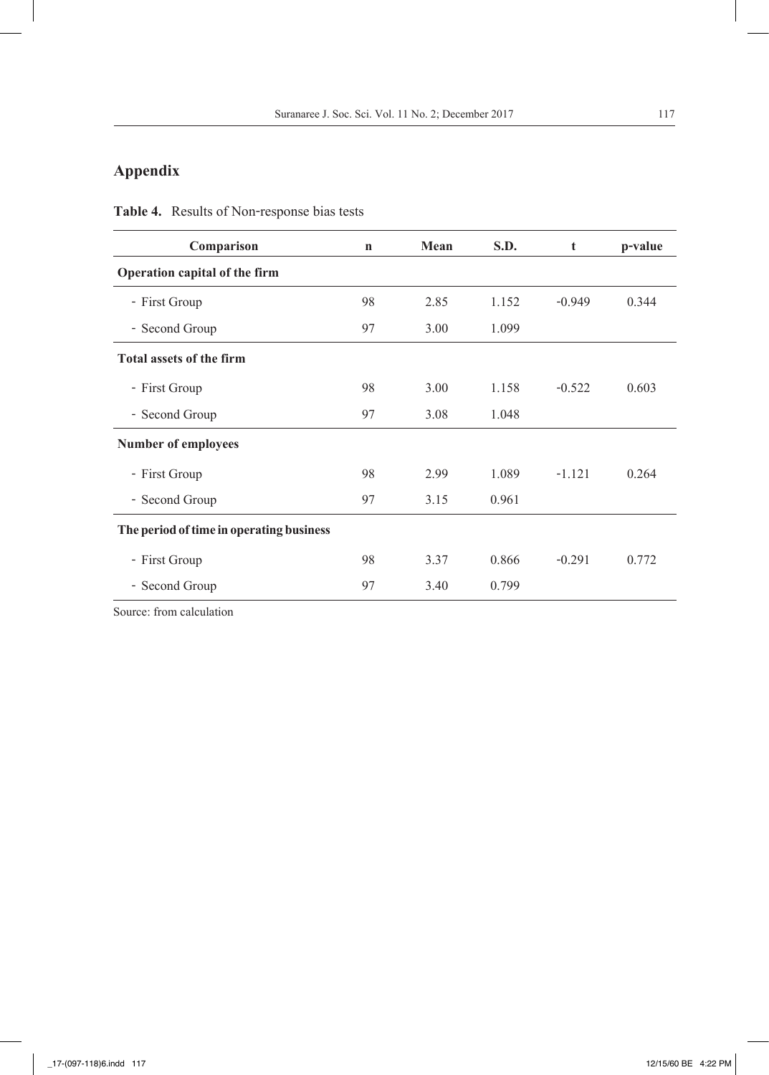## **Appendix**

| Comparison                               | $\mathbf n$ | Mean | S.D.  | t        | p-value |
|------------------------------------------|-------------|------|-------|----------|---------|
| Operation capital of the firm            |             |      |       |          |         |
| - First Group                            | 98          | 2.85 | 1.152 | $-0.949$ | 0.344   |
| - Second Group                           | 97          | 3.00 | 1.099 |          |         |
| Total assets of the firm                 |             |      |       |          |         |
| - First Group                            | 98          | 3.00 | 1.158 | $-0.522$ | 0.603   |
| - Second Group                           | 97          | 3.08 | 1.048 |          |         |
| Number of employees                      |             |      |       |          |         |
| - First Group                            | 98          | 2.99 | 1.089 | $-1.121$ | 0.264   |
| - Second Group                           | 97          | 3.15 | 0.961 |          |         |
| The period of time in operating business |             |      |       |          |         |
| - First Group                            | 98          | 3.37 | 0.866 | $-0.291$ | 0.772   |
| - Second Group                           | 97          | 3.40 | 0.799 |          |         |

**Table 4.** Results of Non-response bias tests

Source: from calculation